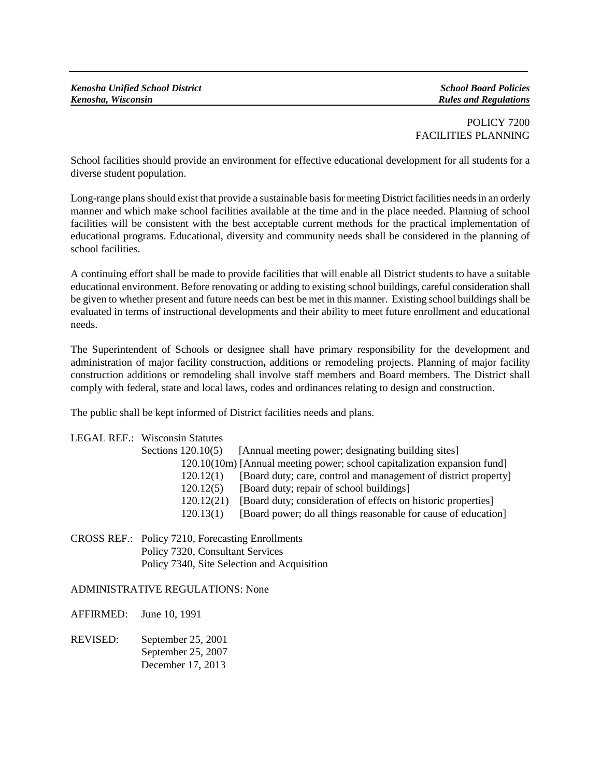POLICY 7200 FACILITIES PLANNING

School facilities should provide an environment for effective educational development for all students for a diverse student population.

Long-range plans should exist that provide a sustainable basis for meeting District facilities needs in an orderly manner and which make school facilities available at the time and in the place needed. Planning of school facilities will be consistent with the best acceptable current methods for the practical implementation of educational programs. Educational, diversity and community needs shall be considered in the planning of school facilities.

A continuing effort shall be made to provide facilities that will enable all District students to have a suitable educational environment. Before renovating or adding to existing school buildings, careful consideration shall be given to whether present and future needs can best be met in this manner. Existing school buildings shall be evaluated in terms of instructional developments and their ability to meet future enrollment and educational needs.

The Superintendent of Schools or designee shall have primary responsibility for the development and administration of major facility construction**,** additions or remodeling projects. Planning of major facility construction additions or remodeling shall involve staff members and Board members. The District shall comply with federal, state and local laws, codes and ordinances relating to design and construction.

The public shall be kept informed of District facilities needs and plans.

| <b>LEGAL REF.: Wisconsin Statutes</b> |                                                                          |
|---------------------------------------|--------------------------------------------------------------------------|
| Sections $120.10(5)$                  | [Annual meeting power; designating building sites]                       |
|                                       | 120.10(10m) [Annual meeting power; school capitalization expansion fund] |
| 120.12(1)                             | [Board duty; care, control and management of district property]          |
| 120.12(5)                             | [Board duty; repair of school buildings]                                 |
| 120.12(21)                            | [Board duty; consideration of effects on historic properties]            |
| 120.13(1)                             | [Board power; do all things reasonable for cause of education]           |
|                                       |                                                                          |

CROSS REF.: Policy 7210, Forecasting Enrollments Policy 7320, Consultant Services Policy 7340, Site Selection and Acquisition

## ADMINISTRATIVE REGULATIONS: None

AFFIRMED: June 10, 1991

REVISED: September 25, 2001 September 25, 2007 December 17, 2013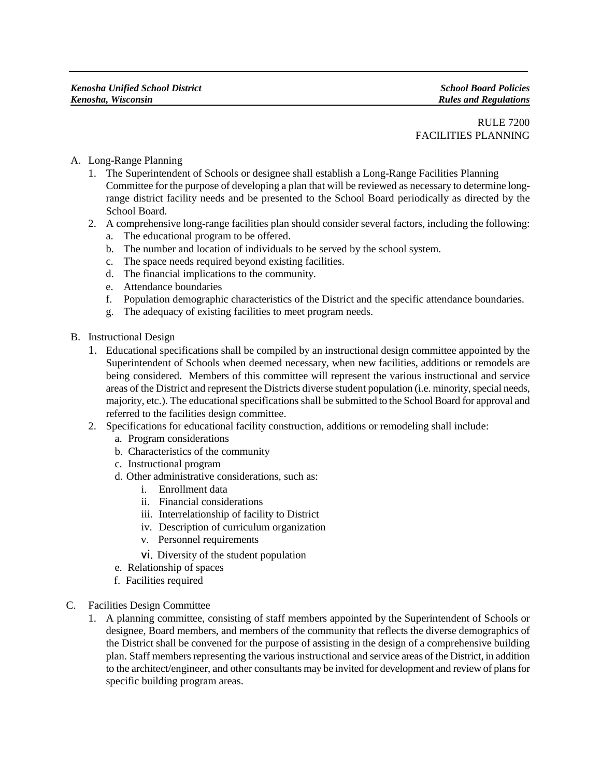RULE 7200 FACILITIES PLANNING

- A. Long-Range Planning
	- 1. The Superintendent of Schools or designee shall establish a Long-Range Facilities Planning Committee for the purpose of developing a plan that will be reviewed as necessary to determine longrange district facility needs and be presented to the School Board periodically as directed by the School Board.
	- 2. A comprehensive long-range facilities plan should consider several factors, including the following:
		- a. The educational program to be offered.
		- b. The number and location of individuals to be served by the school system.
		- c. The space needs required beyond existing facilities.
		- d. The financial implications to the community.
		- e. Attendance boundaries
		- f. Population demographic characteristics of the District and the specific attendance boundaries.
		- g. The adequacy of existing facilities to meet program needs.
- B. Instructional Design
	- 1. Educational specifications shall be compiled by an instructional design committee appointed by the Superintendent of Schools when deemed necessary, when new facilities, additions or remodels are being considered. Members of this committee will represent the various instructional and service areas of the District and represent the Districts diverse student population (i.e. minority, special needs, majority, etc.). The educational specifications shall be submitted to the School Board for approval and referred to the facilities design committee.
	- 2. Specifications for educational facility construction, additions or remodeling shall include:
		- a. Program considerations
		- b. Characteristics of the community
		- c. Instructional program
		- d. Other administrative considerations, such as:
			- i. Enrollment data
			- ii. Financial considerations
			- iii. Interrelationship of facility to District
			- iv. Description of curriculum organization
			- v. Personnel requirements
			- vi. Diversity of the student population
		- e. Relationship of spaces
		- f. Facilities required
- C. Facilities Design Committee
	- 1. A planning committee, consisting of staff members appointed by the Superintendent of Schools or designee, Board members, and members of the community that reflects the diverse demographics of the District shall be convened for the purpose of assisting in the design of a comprehensive building plan. Staff members representing the various instructional and service areas of the District, in addition to the architect/engineer, and other consultants may be invited for development and review of plans for specific building program areas.